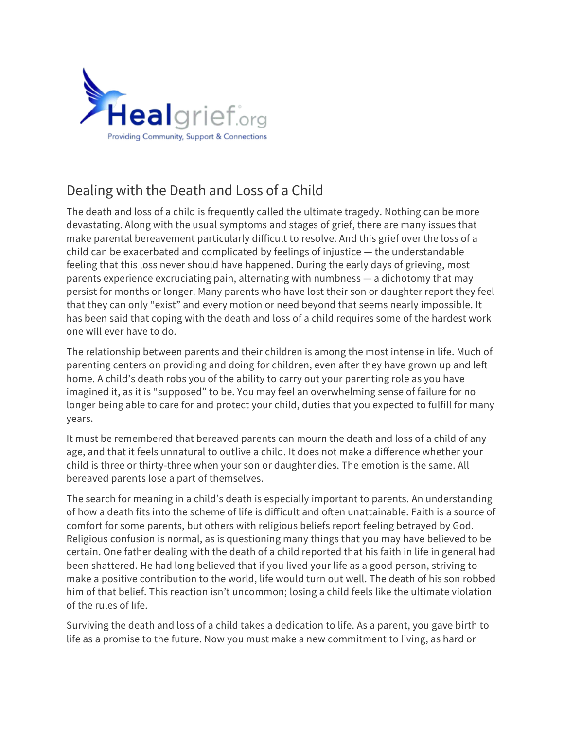

# Dealing with the Death and Loss of a Child

The death and loss of a child is frequently called the ultimate tragedy. Nothing can be more devastating. Along with the usual symptoms and stages of grief, there are many issues that make parental bereavement particularly difficult to resolve. And this grief over the loss of a child can be exacerbated and complicated by feelings of injustice — the understandable feeling that this loss never should have happened. During the early days of grieving, most parents experience excruciating pain, alternating with numbness — a dichotomy that may persist for months or longer. Many parents who have lost their son or daughter report they feel that they can only "exist" and every motion or need beyond that seems nearly impossible. It has been said that coping with the death and loss of a child requires some of the hardest work one will ever have to do.

The relationship between parents and their children is among the most intense in life. Much of parenting centers on providing and doing for children, even after they have grown up and left home. A child's death robs you of the ability to carry out your parenting role as you have imagined it, as it is "supposed" to be. You may feel an overwhelming sense of failure for no longer being able to care for and protect your child, duties that you expected to fulfill for many years.

It must be remembered that bereaved parents can mourn the death and loss of a child of any age, and that it feels unnatural to outlive a child. It does not make a difference whether your child is three or thirty-three when your son or daughter dies. The emotion is the same. All bereaved parents lose a part of themselves.

The search for meaning in a child's death is especially important to parents. An understanding of how a death fits into the scheme of life is difficult and often unattainable. Faith is a source of comfort for some parents, but others with religious beliefs report feeling betrayed by God. Religious confusion is normal, as is questioning many things that you may have believed to be certain. One father dealing with the death of a child reported that his faith in life in general had been shattered. He had long believed that if you lived your life as a good person, striving to make a positive contribution to the world, life would turn out well. The death of his son robbed him of that belief. This reaction isn't uncommon; losing a child feels like the ultimate violation of the rules of life.

Surviving the death and loss of a child takes a dedication to life. As a parent, you gave birth to life as a promise to the future. Now you must make a new commitment to living, as hard or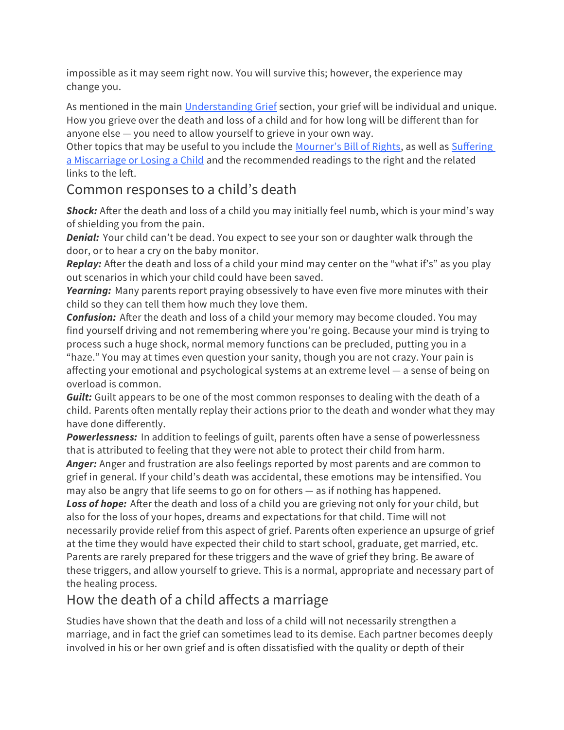impossible as it may seem right now. You will survive this; however, the experience may change you.

As mentioned in the main [Understanding Grief](https://healgrief.org/understanding-grief/) section, your grief will be individual and unique. How you grieve over the death and loss of a child and for how long will be different than for anyone else — you need to allow yourself to grieve in your own way.

Other topics that may be useful to you include the [Mourner's Bill of Rights](https://healgrief.org/the-mourners-bill-of-rights/), as well as Suffering [a Miscarriage or Losing a Child](https://healgrief.org/suffering-miscarriage-losing-child/) and the recommended readings to the right and the related links to the left.

### Common responses to a child's death

**Shock:** After the death and loss of a child you may initially feel numb, which is your mind's way of shielding you from the pain.

**Denial:** Your child can't be dead. You expect to see your son or daughter walk through the door, or to hear a cry on the baby monitor.

**Replay:** After the death and loss of a child your mind may center on the "what if's" as you play out scenarios in which your child could have been saved.

**Yearning:** Many parents report praying obsessively to have even five more minutes with their child so they can tell them how much they love them.

**Confusion:** After the death and loss of a child your memory may become clouded. You may find yourself driving and not remembering where you're going. Because your mind is trying to process such a huge shock, normal memory functions can be precluded, putting you in a "haze." You may at times even question your sanity, though you are not crazy. Your pain is affecting your emotional and psychological systems at an extreme level — a sense of being on overload is common.

**Guilt:** Guilt appears to be one of the most common responses to dealing with the death of a child. Parents often mentally replay their actions prior to the death and wonder what they may have done differently.

**Powerlessness:** In addition to feelings of guilt, parents often have a sense of powerlessness that is attributed to feeling that they were not able to protect their child from harm. **Anger:** Anger and frustration are also feelings reported by most parents and are common to

grief in general. If your child's death was accidental, these emotions may be intensified. You may also be angry that life seems to go on for others — as if nothing has happened.

**Loss of hope:** After the death and loss of a child you are grieving not only for your child, but also for the loss of your hopes, dreams and expectations for that child. Time will not necessarily provide relief from this aspect of grief. Parents often experience an upsurge of grief at the time they would have expected their child to start school, graduate, get married, etc. Parents are rarely prepared for these triggers and the wave of grief they bring. Be aware of these triggers, and allow yourself to grieve. This is a normal, appropriate and necessary part of the healing process.

## How the death of a child affects a marriage

Studies have shown that the death and loss of a child will not necessarily strengthen a marriage, and in fact the grief can sometimes lead to its demise. Each partner becomes deeply involved in his or her own grief and is often dissatisfied with the quality or depth of their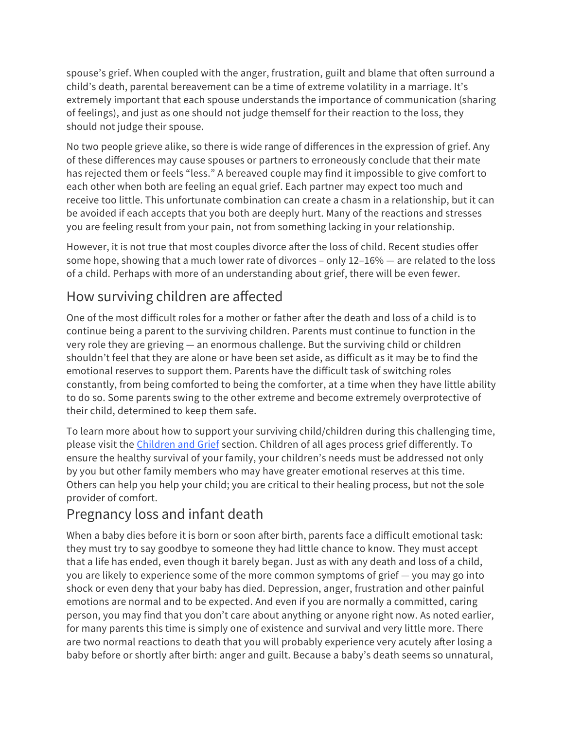spouse's grief. When coupled with the anger, frustration, guilt and blame that often surround a child's death, parental bereavement can be a time of extreme volatility in a marriage. It's extremely important that each spouse understands the importance of communication (sharing of feelings), and just as one should not judge themself for their reaction to the loss, they should not judge their spouse.

No two people grieve alike, so there is wide range of differences in the expression of grief. Any of these differences may cause spouses or partners to erroneously conclude that their mate has rejected them or feels "less." A bereaved couple may find it impossible to give comfort to each other when both are feeling an equal grief. Each partner may expect too much and receive too little. This unfortunate combination can create a chasm in a relationship, but it can be avoided if each accepts that you both are deeply hurt. Many of the reactions and stresses you are feeling result from your pain, not from something lacking in your relationship.

However, it is not true that most couples divorce after the loss of child. Recent studies offer some hope, showing that a much lower rate of divorces – only 12–16% — are related to the loss of a child. Perhaps with more of an understanding about grief, there will be even fewer.

## How surviving children are affected

One of the most difficult roles for a mother or father after the death and loss of a child is to continue being a parent to the surviving children. Parents must continue to function in the very role they are grieving — an enormous challenge. But the surviving child or children shouldn't feel that they are alone or have been set aside, as difficult as it may be to find the emotional reserves to support them. Parents have the difficult task of switching roles constantly, from being comforted to being the comforter, at a time when they have little ability to do so. Some parents swing to the other extreme and become extremely overprotective of their child, determined to keep them safe.

To learn more about how to support your surviving child/children during this challenging time, please visit the [Children and Grief](https://healgrief.org/helping-children-cope-deal-with-grief/) section. Children of all ages process grief differently. To ensure the healthy survival of your family, your children's needs must be addressed not only by you but other family members who may have greater emotional reserves at this time. Others can help you help your child; you are critical to their healing process, but not the sole provider of comfort.

## Pregnancy loss and infant death

When a baby dies before it is born or soon after birth, parents face a difficult emotional task: they must try to say goodbye to someone they had little chance to know. They must accept that a life has ended, even though it barely began. Just as with any death and loss of a child, you are likely to experience some of the more common symptoms of grief — you may go into shock or even deny that your baby has died. Depression, anger, frustration and other painful emotions are normal and to be expected. And even if you are normally a committed, caring person, you may find that you don't care about anything or anyone right now. As noted earlier, for many parents this time is simply one of existence and survival and very little more. There are two normal reactions to death that you will probably experience very acutely after losing a baby before or shortly after birth: anger and guilt. Because a baby's death seems so unnatural,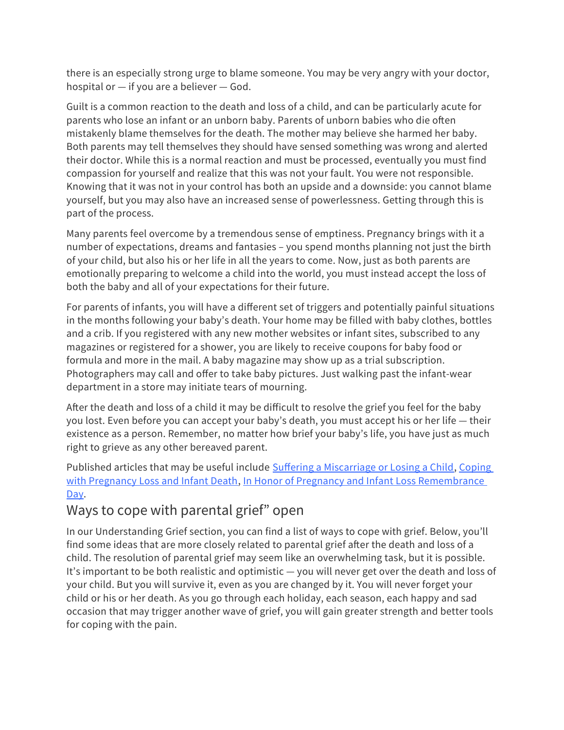there is an especially strong urge to blame someone. You may be very angry with your doctor, hospital or — if you are a believer — God.

Guilt is a common reaction to the death and loss of a child, and can be particularly acute for parents who lose an infant or an unborn baby. Parents of unborn babies who die often mistakenly blame themselves for the death. The mother may believe she harmed her baby. Both parents may tell themselves they should have sensed something was wrong and alerted their doctor. While this is a normal reaction and must be processed, eventually you must find compassion for yourself and realize that this was not your fault. You were not responsible. Knowing that it was not in your control has both an upside and a downside: you cannot blame yourself, but you may also have an increased sense of powerlessness. Getting through this is part of the process.

Many parents feel overcome by a tremendous sense of emptiness. Pregnancy brings with it a number of expectations, dreams and fantasies – you spend months planning not just the birth of your child, but also his or her life in all the years to come. Now, just as both parents are emotionally preparing to welcome a child into the world, you must instead accept the loss of both the baby and all of your expectations for their future.

For parents of infants, you will have a different set of triggers and potentially painful situations in the months following your baby's death. Your home may be filled with baby clothes, bottles and a crib. If you registered with any new mother websites or infant sites, subscribed to any magazines or registered for a shower, you are likely to receive coupons for baby food or formula and more in the mail. A baby magazine may show up as a trial subscription. Photographers may call and offer to take baby pictures. Just walking past the infant-wear department in a store may initiate tears of mourning.

After the death and loss of a child it may be difficult to resolve the grief you feel for the baby you lost. Even before you can accept your baby's death, you must accept his or her life — their existence as a person. Remember, no matter how brief your baby's life, you have just as much right to grieve as any other bereaved parent.

Published articles that may be useful include [Suffering a Miscarriage or Losing a Child](https://healgrief.org/suffering-miscarriage-losing-child/), [Coping](https://healgrief.org/coping-pregnancy-loss-infant-death/)  [with Pregnancy Loss and Infant Death](https://healgrief.org/coping-pregnancy-loss-infant-death/), In Honor of Pregnancy and Infant Loss Remembrance [Day.](https://healgrief.org/honor-pregnancy-infant-loss-remembrance-day/)

## Ways to cope with parental grief" open

In our Understanding Grief section, you can find a list of ways to cope with grief. Below, you'll find some ideas that are more closely related to parental grief after the death and loss of a child. The resolution of parental grief may seem like an overwhelming task, but it is possible. It's important to be both realistic and optimistic — you will never get over the death and loss of your child. But you will survive it, even as you are changed by it. You will never forget your child or his or her death. As you go through each holiday, each season, each happy and sad occasion that may trigger another wave of grief, you will gain greater strength and better tools for coping with the pain.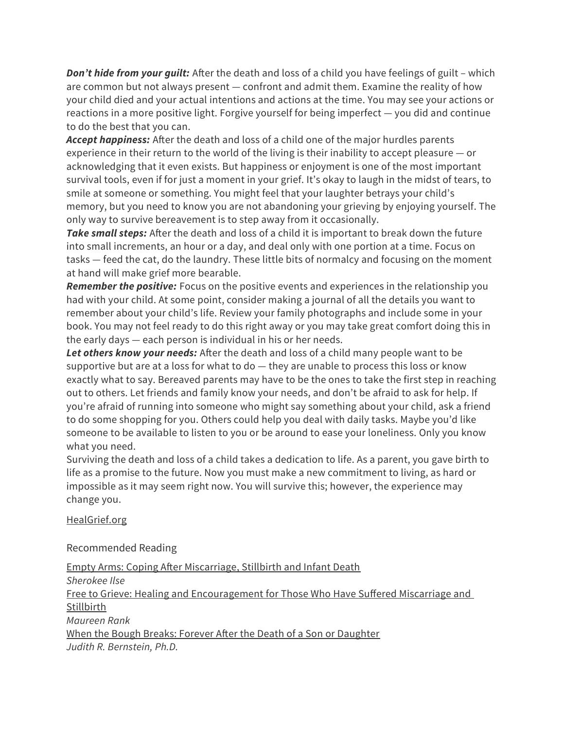**Don't hide from your guilt:** After the death and loss of a child you have feelings of guilt – which are common but not always present — confront and admit them. Examine the reality of how your child died and your actual intentions and actions at the time. You may see your actions or reactions in a more positive light. Forgive yourself for being imperfect — you did and continue to do the best that you can.

**Accept happiness:** After the death and loss of a child one of the major hurdles parents experience in their return to the world of the living is their inability to accept pleasure — or acknowledging that it even exists. But happiness or enjoyment is one of the most important survival tools, even if for just a moment in your grief. It's okay to laugh in the midst of tears, to smile at someone or something. You might feel that your laughter betrays your child's memory, but you need to know you are not abandoning your grieving by enjoying yourself. The only way to survive bereavement is to step away from it occasionally.

**Take small steps:** After the death and loss of a child it is important to break down the future into small increments, an hour or a day, and deal only with one portion at a time. Focus on tasks — feed the cat, do the laundry. These little bits of normalcy and focusing on the moment at hand will make grief more bearable.

**Remember the positive:** Focus on the positive events and experiences in the relationship you had with your child. At some point, consider making a journal of all the details you want to remember about your child's life. Review your family photographs and include some in your book. You may not feel ready to do this right away or you may take great comfort doing this in the early days — each person is individual in his or her needs.

**Let others know your needs:** After the death and loss of a child many people want to be supportive but are at a loss for what to do — they are unable to process this loss or know exactly what to say. Bereaved parents may have to be the ones to take the first step in reaching out to others. Let friends and family know your needs, and don't be afraid to ask for help. If you're afraid of running into someone who might say something about your child, ask a friend to do some shopping for you. Others could help you deal with daily tasks. Maybe you'd like someone to be available to listen to you or be around to ease your loneliness. Only you know what you need.

Surviving the death and loss of a child takes a dedication to life. As a parent, you gave birth to life as a promise to the future. Now you must make a new commitment to living, as hard or impossible as it may seem right now. You will survive this; however, the experience may change you.

[HealGrief.org](https://healgrief.org/)

Recommended Reading

[Empty Arms: Coping After Miscarriage, Stillbirth and Infant Death](http://www.amazon.com/Empty-Arms-Coping-Miscarriage-Stillbirth/dp/0960945660/ref=sr_1_1?ie=UTF8&qid=1336147353&sr=8-1) Sherokee Ilse [Free to Grieve: Healing and Encouragement for Those Who Have Suffered Miscarriage and](http://www.amazon.com/Free-Grieve-Encouragement-Miscarriage-Stillbirth/dp/0764228684/ref=sr_1_1?s=books&ie=UTF8&qid=1336147461&sr=1-1)  [Stillbirth](http://www.amazon.com/Free-Grieve-Encouragement-Miscarriage-Stillbirth/dp/0764228684/ref=sr_1_1?s=books&ie=UTF8&qid=1336147461&sr=1-1) Maureen Rank [When the Bough Breaks: Forever After the Death of a Son or Daughter](http://www.amazon.com/When-The-Bough-Breaks-Daughter/dp/0836252829/ref=sr_1_2?s=books&ie=UTF8&qid=1336147502&sr=1-2) Judith R. Bernstein, Ph.D.